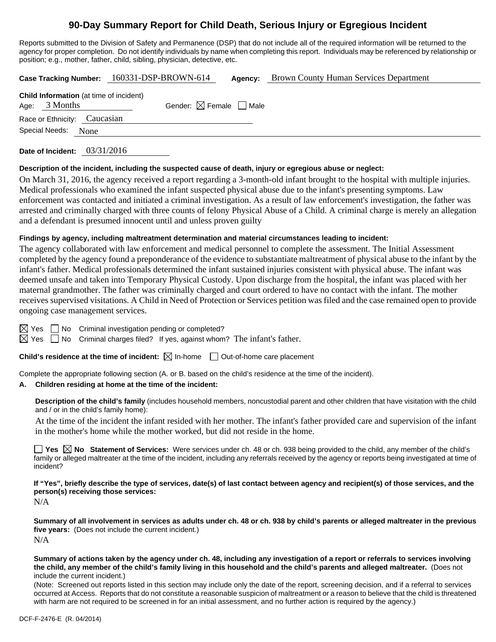# **90-Day Summary Report for Child Death, Serious Injury or Egregious Incident**

Reports submitted to the Division of Safety and Permanence (DSP) that do not include all of the required information will be returned to the agency for proper completion. Do not identify individuals by name when completing this report. Individuals may be referenced by relationship or position; e.g., mother, father, child, sibling, physician, detective, etc.

**Case Tracking Number:** 160331-DSP-BROWN-614 **Agency:** Brown County Human Services Department

| Age: $3$ Months              | Child Information (at time of incident) | Gender: $\boxtimes$ Female $\Box$ Male |
|------------------------------|-----------------------------------------|----------------------------------------|
| Race or Ethnicity: Caucasian |                                         |                                        |
| Special Needs: None          |                                         |                                        |
|                              |                                         |                                        |

**Date of Incident:** 03/31/2016

#### **Description of the incident, including the suspected cause of death, injury or egregious abuse or neglect:**

On March 31, 2016, the agency received a report regarding a 3-month-old infant brought to the hospital with multiple injuries. Medical professionals who examined the infant suspected physical abuse due to the infant's presenting symptoms. Law enforcement was contacted and initiated a criminal investigation. As a result of law enforcement's investigation, the father was arrested and criminally charged with three counts of felony Physical Abuse of a Child. A criminal charge is merely an allegation and a defendant is presumed innocent until and unless proven guilty

#### **Findings by agency, including maltreatment determination and material circumstances leading to incident:**

The agency collaborated with law enforcement and medical personnel to complete the assessment. The Initial Assessment completed by the agency found a preponderance of the evidence to substantiate maltreatment of physical abuse to the infant by the infant's father. Medical professionals determined the infant sustained injuries consistent with physical abuse. The infant was deemed unsafe and taken into Temporary Physical Custody. Upon discharge from the hospital, the infant was placed with her maternal grandmother. The father was criminally charged and court ordered to have no contact with the infant. The mother receives supervised visitations. A Child in Need of Protection or Services petition was filed and the case remained open to provide ongoing case management services.

 $\boxtimes$  Yes  $\Box$  No Criminal investigation pending or completed?

 $\boxtimes$  Yes  $\Box$  No Criminal charges filed? If yes, against whom? The infant's father.

**Child's residence at the time of incident:**  $\boxtimes$  In-home  $\Box$  Out-of-home care placement

Complete the appropriate following section (A. or B. based on the child's residence at the time of the incident).

#### **A. Children residing at home at the time of the incident:**

**Description of the child's family** (includes household members, noncustodial parent and other children that have visitation with the child and / or in the child's family home):

 At the time of the incident the infant resided with her mother. The infant's father provided care and supervision of the infant in the mother's home while the mother worked, but did not reside in the home.

■ Yes **No** Statement of Services: Were services under ch. 48 or ch. 938 being provided to the child, any member of the child's family or alleged maltreater at the time of the incident, including any referrals received by the agency or reports being investigated at time of incident?

**If "Yes", briefly describe the type of services, date(s) of last contact between agency and recipient(s) of those services, and the person(s) receiving those services:** 

N/A

**Summary of all involvement in services as adults under ch. 48 or ch. 938 by child's parents or alleged maltreater in the previous five years:** (Does not include the current incident.) N/A

**Summary of actions taken by the agency under ch. 48, including any investigation of a report or referrals to services involving the child, any member of the child's family living in this household and the child's parents and alleged maltreater.** (Does not include the current incident.)

(Note: Screened out reports listed in this section may include only the date of the report, screening decision, and if a referral to services occurred at Access. Reports that do not constitute a reasonable suspicion of maltreatment or a reason to believe that the child is threatened with harm are not required to be screened in for an initial assessment, and no further action is required by the agency.)